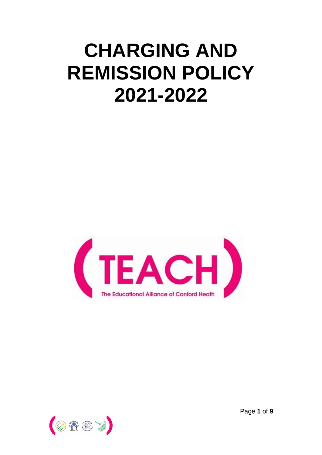# **CHARGING AND REMISSION POLICY 2021-2022**





Page **1** of **9**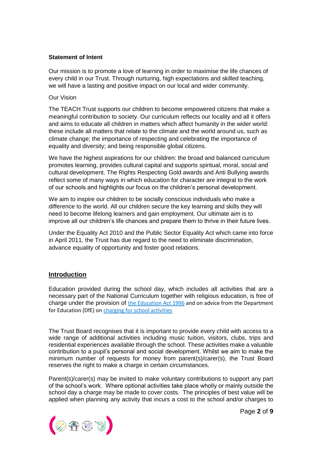#### **Statement of Intent**

Our mission is to promote a love of learning in order to maximise the life chances of every child in our Trust. Through nurturing, high expectations and skilled teaching, we will have a lasting and positive impact on our local and wider community.

#### Our Vision

The TEACH Trust supports our children to become empowered citizens that make a meaningful contribution to society. Our curriculum reflects our locality and all it offers and aims to educate all children in matters which affect humanity in the wider world: these include all matters that relate to the climate and the world around us, such as climate change; the importance of respecting and celebrating the importance of equality and diversity; and being responsible global citizens.

We have the highest aspirations for our children: the broad and balanced curriculum promotes learning, provides cultural capital and supports spiritual, moral, social and cultural development. The Rights Respecting Gold awards and Anti Bullying awards reflect some of many ways in which education for character are integral to the work of our schools and highlights our focus on the children's personal development.

We aim to inspire our children to be socially conscious individuals who make a difference to the world. All our children secure the key learning and skills they will need to become lifelong learners and gain employment. Our ultimate aim is to improve all our children's life chances and prepare them to thrive in their future lives.

Under the Equality Act 2010 and the Public Sector Equality Act which came into force in April 2011, the Trust has due regard to the need to eliminate discrimination, advance equality of opportunity and foster good relations.

## **Introduction**

Education provided during the school day, which includes all activities that are a necessary part of the National Curriculum together with religious education, is free of charge under the provision of [the Education Act 1996](http://www.legislation.gov.uk/ukpga/1996/56/part/VI/chapter/III) and on advice from the Department for Education (DfE) o[n charging for school activities](https://www.gov.uk/government/publications/charging-for-school-activities)

The Trust Board recognises that it is important to provide every child with access to a wide range of additional activities including music tuition, visitors, clubs, trips and residential experiences available through the school. These activities make a valuable contribution to a pupil's personal and social development. Whilst we aim to make the minimum number of requests for money from parent(s)/carer(s), the Trust Board reserves the right to make a charge in certain circumstances.

Parent(s)/carer(s) may be invited to make voluntary contributions to support any part of the school's work. Where optional activities take place wholly or mainly outside the school day a charge may be made to cover costs. The principles of best value will be applied when planning any activity that incurs a cost to the school and/or charges to

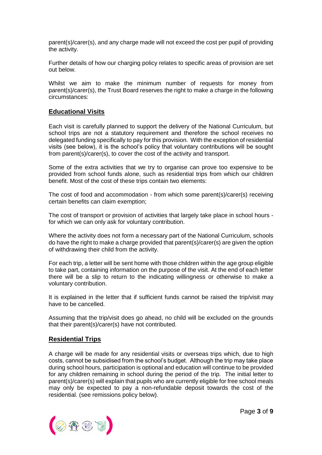parent(s)/carer(s), and any charge made will not exceed the cost per pupil of providing the activity.

Further details of how our charging policy relates to specific areas of provision are set out below.

Whilst we aim to make the minimum number of requests for money from parent(s)/carer(s), the Trust Board reserves the right to make a charge in the following circumstances:

### **Educational Visits**

Each visit is carefully planned to support the delivery of the National Curriculum, but school trips are not a statutory requirement and therefore the school receives no delegated funding specifically to pay for this provision. With the exception of residential visits (see below), it is the school's policy that voluntary contributions will be sought from parent(s)/carer(s), to cover the cost of the activity and transport.

Some of the extra activities that we try to organise can prove too expensive to be provided from school funds alone, such as residential trips from which our children benefit. Most of the cost of these trips contain two elements:

The cost of food and accommodation - from which some parent(s)/carer(s) receiving certain benefits can claim exemption;

The cost of transport or provision of activities that largely take place in school hours for which we can only ask for voluntary contribution.

Where the activity does not form a necessary part of the National Curriculum, schools do have the right to make a charge provided that parent(s)/carer(s) are given the option of withdrawing their child from the activity.

For each trip, a letter will be sent home with those children within the age group eligible to take part, containing information on the purpose of the visit. At the end of each letter there will be a slip to return to the indicating willingness or otherwise to make a voluntary contribution.

It is explained in the letter that if sufficient funds cannot be raised the trip/visit may have to be cancelled.

Assuming that the trip/visit does go ahead, no child will be excluded on the grounds that their parent(s)/carer(s) have not contributed.

#### **Residential Trips**

A charge will be made for any residential visits or overseas trips which, due to high costs, cannot be subsidised from the school's budget. Although the trip may take place during school hours, participation is optional and education will continue to be provided for any children remaining in school during the period of the trip. The initial letter to parent(s)/carer(s) will explain that pupils who are currently eligible for free school meals may only be expected to pay a non-refundable deposit towards the cost of the residential. (see remissions policy below).

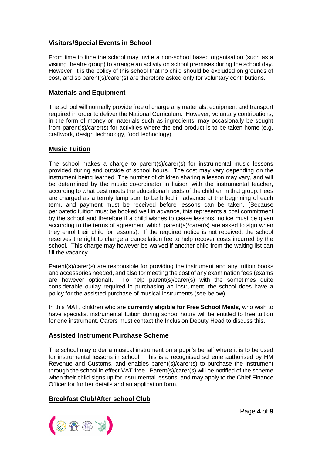# **Visitors/Special Events in School**

From time to time the school may invite a non-school based organisation (such as a visiting theatre group) to arrange an activity on school premises during the school day. However, it is the policy of this school that no child should be excluded on grounds of cost, and so parent(s)/carer(s) are therefore asked only for voluntary contributions.

## **Materials and Equipment**

The school will normally provide free of charge any materials, equipment and transport required in order to deliver the National Curriculum. However, voluntary contributions, in the form of money or materials such as ingredients, may occasionally be sought from parent(s)/carer(s) for activities where the end product is to be taken home (e.g. craftwork, design technology, food technology).

## **Music Tuition**

The school makes a charge to parent(s)/carer(s) for instrumental music lessons provided during and outside of school hours. The cost may vary depending on the instrument being learned. The number of children sharing a lesson may vary, and will be determined by the music co-ordinator in liaison with the instrumental teacher, according to what best meets the educational needs of the children in that group. Fees are charged as a termly lump sum to be billed in advance at the beginning of each term, and payment must be received before lessons can be taken. (Because peripatetic tuition must be booked well in advance, this represents a cost commitment by the school and therefore if a child wishes to cease lessons, notice must be given according to the terms of agreement which parent(s)/carer(s) are asked to sign when they enrol their child for lessons). If the required notice is not received, the school reserves the right to charge a cancellation fee to help recover costs incurred by the school. This charge may however be waived if another child from the waiting list can fill the vacancy.

Parent(s)/carer(s) are responsible for providing the instrument and any tuition books and accessories needed, and also for meeting the cost of any examination fees (exams are however optional). To help parent(s)/carer(s) with the sometimes quite considerable outlay required in purchasing an instrument, the school does have a policy for the assisted purchase of musical instruments (see below).

In this MAT, children who are **currently eligible for Free School Meals,** who wish to have specialist instrumental tuition during school hours will be entitled to free tuition for one instrument. Carers must contact the Inclusion Deputy Head to discuss this.

## **Assisted Instrument Purchase Scheme**

The school may order a musical instrument on a pupil's behalf where it is to be used for instrumental lessons in school. This is a recognised scheme authorised by HM Revenue and Customs, and enables parent(s)/carer(s) to purchase the instrument through the school in effect VAT-free. Parent(s)/carer(s) will be notified of the scheme when their child signs up for instrumental lessons, and may apply to the Chief-Finance Officer for further details and an application form.

# **Breakfast Club/After school Club**

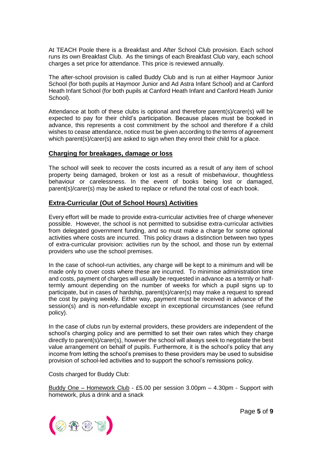At TEACH Poole there is a Breakfast and After School Club provision. Each school runs its own Breakfast Club. As the timings of each Breakfast Club vary, each school charges a set price for attendance. This price is reviewed annually.

The after-school provision is called Buddy Club and is run at either Haymoor Junior School (for both pupils at Haymoor Junior and Ad Astra Infant School) and at Canford Heath Infant School (for both pupils at Canford Heath Infant and Canford Heath Junior School).

Attendance at both of these clubs is optional and therefore parent(s)/carer(s) will be expected to pay for their child's participation. Because places must be booked in advance, this represents a cost commitment by the school and therefore if a child wishes to cease attendance, notice must be given according to the terms of agreement which parent(s)/carer(s) are asked to sign when they enrol their child for a place.

### **Charging for breakages, damage or loss**

The school will seek to recover the costs incurred as a result of any item of school property being damaged, broken or lost as a result of misbehaviour, thoughtless behaviour or carelessness. In the event of books being lost or damaged, parent(s)/carer(s) may be asked to replace or refund the total cost of each book.

### **Extra-Curricular (Out of School Hours) Activities**

Every effort will be made to provide extra-curricular activities free of charge whenever possible. However, the school is not permitted to subsidise extra-curricular activities from delegated government funding, and so must make a charge for some optional activities where costs are incurred. This policy draws a distinction between two types of extra-curricular provision: activities run by the school, and those run by external providers who use the school premises.

In the case of school-run activities, any charge will be kept to a minimum and will be made only to cover costs where these are incurred. To minimise administration time and costs, payment of charges will usually be requested in advance as a termly or halftermly amount depending on the number of weeks for which a pupil signs up to participate, but in cases of hardship, parent(s)/carer(s) may make a request to spread the cost by paying weekly. Either way, payment must be received in advance of the session(s) and is non-refundable except in exceptional circumstances (see refund policy).

In the case of clubs run by external providers, these providers are independent of the school's charging policy and are permitted to set their own rates which they charge directly to parent(s)/carer(s), however the school will always seek to negotiate the best value arrangement on behalf of pupils. Furthermore, it is the school's policy that any income from letting the school's premises to these providers may be used to subsidise provision of school-led activities and to support the school's remissions policy.

Costs charged for Buddy Club:

Buddy One – Homework Club - £5.00 per session 3.00pm – 4.30pm - Support with homework, plus a drink and a snack

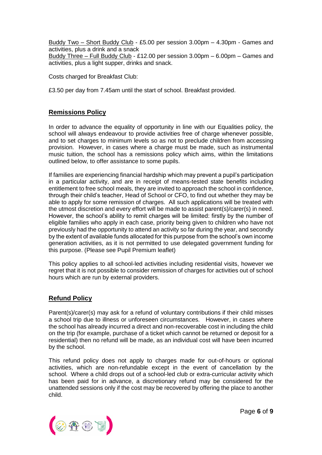Buddy Two – Short Buddy Club - £5.00 per session 3.00pm – 4.30pm - Games and activities, plus a drink and a snack Buddy Three – Full Buddy Club - £12.00 per session 3.00pm – 6.00pm – Games and

Costs charged for Breakfast Club:

activities, plus a light supper, drinks and snack.

£3.50 per day from 7.45am until the start of school. Breakfast provided.

## **Remissions Policy**

In order to advance the equality of opportunity in line with our Equalities policy, the school will always endeavour to provide activities free of charge whenever possible, and to set charges to minimum levels so as not to preclude children from accessing provision. However, in cases where a charge must be made, such as instrumental music tuition, the school has a remissions policy which aims, within the limitations outlined below, to offer assistance to some pupils.

If families are experiencing financial hardship which may prevent a pupil's participation in a particular activity, and are in receipt of means-tested state benefits including entitlement to free school meals, they are invited to approach the school in confidence, through their child's teacher, Head of School or CFO, to find out whether they may be able to apply for some remission of charges. All such applications will be treated with the utmost discretion and every effort will be made to assist parent(s)/carer(s) in need. However, the school's ability to remit charges will be limited: firstly by the number of eligible families who apply in each case, priority being given to children who have not previously had the opportunity to attend an activity so far during the year, and secondly by the extent of available funds allocated for this purpose from the school's own income generation activities, as it is not permitted to use delegated government funding for this purpose. (Please see Pupil Premium leaflet)

This policy applies to all school-led activities including residential visits, however we regret that it is not possible to consider remission of charges for activities out of school hours which are run by external providers.

## **Refund Policy**

Parent(s)/carer(s) may ask for a refund of voluntary contributions if their child misses a school trip due to illness or unforeseen circumstances. However, in cases where the school has already incurred a direct and non-recoverable cost in including the child on the trip (for example, purchase of a ticket which cannot be returned or deposit for a residential) then no refund will be made, as an individual cost will have been incurred by the school.

This refund policy does not apply to charges made for out-of-hours or optional activities, which are non-refundable except in the event of cancellation by the school. Where a child drops out of a school-led club or extra-curricular activity which has been paid for in advance, a discretionary refund may be considered for the unattended sessions only if the cost may be recovered by offering the place to another child.

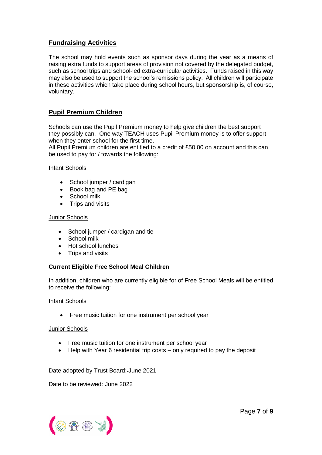# **Fundraising Activities**

The school may hold events such as sponsor days during the year as a means of raising extra funds to support areas of provision not covered by the delegated budget, such as school trips and school-led extra-curricular activities. Funds raised in this way may also be used to support the school's remissions policy. All children will participate in these activities which take place during school hours, but sponsorship is, of course, voluntary.

# **Pupil Premium Children**

Schools can use the Pupil Premium money to help give children the best support they possibly can. One way TEACH uses Pupil Premium money is to offer support when they enter school for the first time.

All Pupil Premium children are entitled to a credit of £50.00 on account and this can be used to pay for / towards the following:

### Infant Schools

- School jumper / cardigan
- Book bag and PE bag
- School milk
- Trips and visits

### Junior Schools

- School jumper / cardigan and tie
- School milk
- Hot school lunches
- Trips and visits

## **Current Eligible Free School Meal Children**

In addition, children who are currently eligible for of Free School Meals will be entitled to receive the following:

#### Infant Schools

• Free music tuition for one instrument per school year

#### Junior Schools

- Free music tuition for one instrument per school year
- Help with Year 6 residential trip costs only required to pay the deposit

Date adopted by Trust Board: June 2021

Date to be reviewed: June 2022

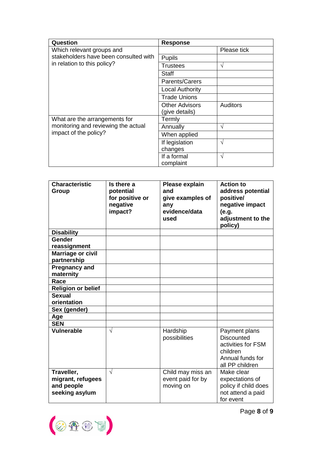| Question                                                                                      | <b>Response</b>        |                 |
|-----------------------------------------------------------------------------------------------|------------------------|-----------------|
| Which relevant groups and                                                                     |                        | Please tick     |
| stakeholders have been consulted with<br>in relation to this policy?                          | <b>Pupils</b>          |                 |
|                                                                                               | Trustees               | V               |
|                                                                                               | Staff                  |                 |
|                                                                                               | Parents/Carers         |                 |
|                                                                                               | <b>Local Authority</b> |                 |
|                                                                                               | <b>Trade Unions</b>    |                 |
|                                                                                               | <b>Other Advisors</b>  | <b>Auditors</b> |
|                                                                                               | (give details)         |                 |
| What are the arrangements for<br>monitoring and reviewing the actual<br>impact of the policy? | Termly                 |                 |
|                                                                                               | Annually               | ٦               |
|                                                                                               | When applied           |                 |
|                                                                                               | If legislation         | $\sqrt{ }$      |
|                                                                                               | changes                |                 |
|                                                                                               | If a formal            | $\sqrt{ }$      |
|                                                                                               | complaint              |                 |

| <b>Characteristic</b><br>Group                                  | Is there a<br>potential<br>for positive or<br>negative<br>impact? | Please explain<br>and<br>give examples of<br>any<br>evidence/data | <b>Action to</b><br>address potential<br>positive/<br>negative impact<br>(e.g.                              |
|-----------------------------------------------------------------|-------------------------------------------------------------------|-------------------------------------------------------------------|-------------------------------------------------------------------------------------------------------------|
|                                                                 |                                                                   | used                                                              | adjustment to the<br>policy)                                                                                |
| <b>Disability</b>                                               |                                                                   |                                                                   |                                                                                                             |
| Gender<br>reassignment                                          |                                                                   |                                                                   |                                                                                                             |
| <b>Marriage or civil</b><br>partnership                         |                                                                   |                                                                   |                                                                                                             |
| <b>Pregnancy and</b><br>maternity                               |                                                                   |                                                                   |                                                                                                             |
| Race                                                            |                                                                   |                                                                   |                                                                                                             |
| <b>Religion or belief</b>                                       |                                                                   |                                                                   |                                                                                                             |
| <b>Sexual</b>                                                   |                                                                   |                                                                   |                                                                                                             |
| orientation                                                     |                                                                   |                                                                   |                                                                                                             |
| Sex (gender)                                                    |                                                                   |                                                                   |                                                                                                             |
| Age                                                             |                                                                   |                                                                   |                                                                                                             |
| <b>SEN</b>                                                      |                                                                   |                                                                   |                                                                                                             |
| Vulnerable                                                      | $\sqrt{ }$                                                        | Hardship<br>possibilities                                         | Payment plans<br><b>Discounted</b><br>activities for FSM<br>children<br>Annual funds for<br>all PP children |
| Traveller,<br>migrant, refugees<br>and people<br>seeking asylum | $\sqrt{}$                                                         | Child may miss an<br>event paid for by<br>moving on               | Make clear<br>expectations of<br>policy if child does<br>not attend a paid<br>for event                     |